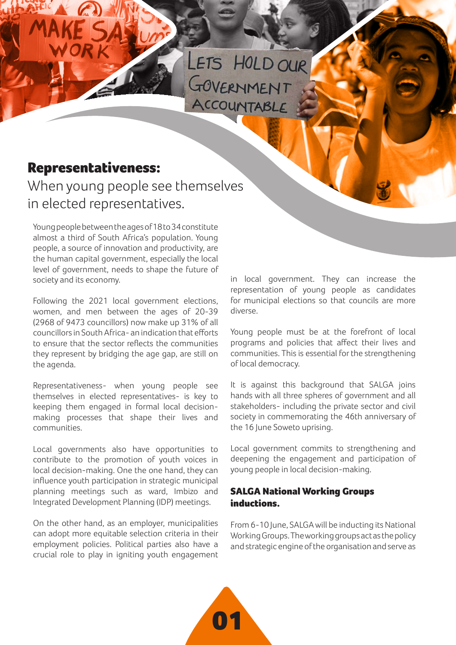LETS HOLD OUR<br>GOVERNMENT

# Representativeness:

When young people see themselves in elected representatives.

Young people between the ages of 18 to 34 constitute almost a third of South Africa's population. Young people, a source of innovation and productivity, are the human capital government, especially the local level of government, needs to shape the future of society and its economy.

Following the 2021 local government elections, women, and men between the ages of 20-39 (2968 of 9473 councillors) now make up 31% of all councillors in South Africa- an indication that efforts to ensure that the sector reflects the communities they represent by bridging the age gap, are still on the agenda.

Representativeness- when young people see themselves in elected representatives- is key to keeping them engaged in formal local decisionmaking processes that shape their lives and communities.

Local governments also have opportunities to contribute to the promotion of youth voices in local decision-making. One the one hand, they can influence youth participation in strategic municipal planning meetings such as ward, Imbizo and Integrated Development Planning (IDP) meetings.

On the other hand, as an employer, municipalities can adopt more equitable selection criteria in their employment policies. Political parties also have a crucial role to play in igniting youth engagement

in local government. They can increase the representation of young people as candidates for municipal elections so that councils are more diverse.

Young people must be at the forefront of local programs and policies that affect their lives and communities. This is essential for the strengthening of local democracy.

It is against this background that SALGA joins hands with all three spheres of government and all stakeholders- including the private sector and civil society in commemorating the 46th anniversary of the 16 June Soweto uprising.

Local government commits to strengthening and deepening the engagement and participation of young people in local decision-making.

## SALGA National Working Groups inductions.

From 6-10 June, SALGA will be inducting its National Working Groups. The working groups act as the policy and strategic engine of the organisation and serve as